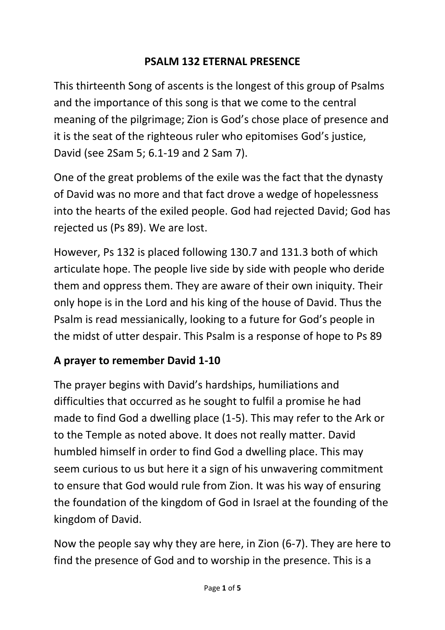### **PSALM 132 ETERNAL PRESENCE**

This thirteenth Song of ascents is the longest of this group of Psalms and the importance of this song is that we come to the central meaning of the pilgrimage; Zion is God's chose place of presence and it is the seat of the righteous ruler who epitomises God's justice, David (see 2Sam 5; 6.1-19 and 2 Sam 7).

One of the great problems of the exile was the fact that the dynasty of David was no more and that fact drove a wedge of hopelessness into the hearts of the exiled people. God had rejected David; God has rejected us (Ps 89). We are lost.

However, Ps 132 is placed following 130.7 and 131.3 both of which articulate hope. The people live side by side with people who deride them and oppress them. They are aware of their own iniquity. Their only hope is in the Lord and his king of the house of David. Thus the Psalm is read messianically, looking to a future for God's people in the midst of utter despair. This Psalm is a response of hope to Ps 89

# **A prayer to remember David 1-10**

The prayer begins with David's hardships, humiliations and difficulties that occurred as he sought to fulfil a promise he had made to find God a dwelling place (1-5). This may refer to the Ark or to the Temple as noted above. It does not really matter. David humbled himself in order to find God a dwelling place. This may seem curious to us but here it a sign of his unwavering commitment to ensure that God would rule from Zion. It was his way of ensuring the foundation of the kingdom of God in Israel at the founding of the kingdom of David.

Now the people say why they are here, in Zion (6-7). They are here to find the presence of God and to worship in the presence. This is a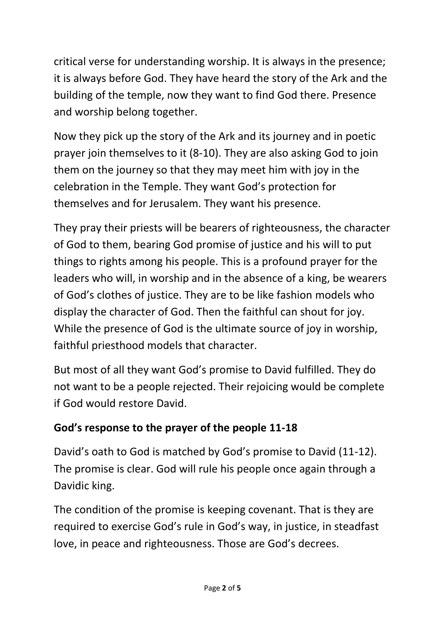critical verse for understanding worship. It is always in the presence; it is always before God. They have heard the story of the Ark and the building of the temple, now they want to find God there. Presence and worship belong together.

Now they pick up the story of the Ark and its journey and in poetic prayer join themselves to it (8-10). They are also asking God to join them on the journey so that they may meet him with joy in the celebration in the Temple. They want God's protection for themselves and for Jerusalem. They want his presence.

They pray their priests will be bearers of righteousness, the character of God to them, bearing God promise of justice and his will to put things to rights among his people. This is a profound prayer for the leaders who will, in worship and in the absence of a king, be wearers of God's clothes of justice. They are to be like fashion models who display the character of God. Then the faithful can shout for joy. While the presence of God is the ultimate source of joy in worship, faithful priesthood models that character.

But most of all they want God's promise to David fulfilled. They do not want to be a people rejected. Their rejoicing would be complete if God would restore David.

# **God's response to the prayer of the people 11-18**

David's oath to God is matched by God's promise to David (11-12). The promise is clear. God will rule his people once again through a Davidic king.

The condition of the promise is keeping covenant. That is they are required to exercise God's rule in God's way, in justice, in steadfast love, in peace and righteousness. Those are God's decrees.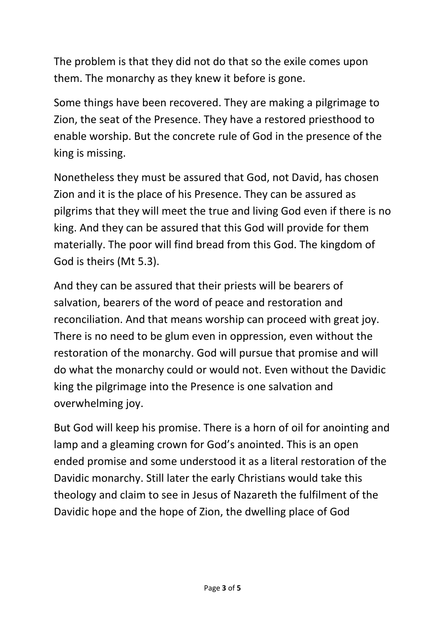The problem is that they did not do that so the exile comes upon them. The monarchy as they knew it before is gone.

Some things have been recovered. They are making a pilgrimage to Zion, the seat of the Presence. They have a restored priesthood to enable worship. But the concrete rule of God in the presence of the king is missing.

Nonetheless they must be assured that God, not David, has chosen Zion and it is the place of his Presence. They can be assured as pilgrims that they will meet the true and living God even if there is no king. And they can be assured that this God will provide for them materially. The poor will find bread from this God. The kingdom of God is theirs (Mt 5.3).

And they can be assured that their priests will be bearers of salvation, bearers of the word of peace and restoration and reconciliation. And that means worship can proceed with great joy. There is no need to be glum even in oppression, even without the restoration of the monarchy. God will pursue that promise and will do what the monarchy could or would not. Even without the Davidic king the pilgrimage into the Presence is one salvation and overwhelming joy.

But God will keep his promise. There is a horn of oil for anointing and lamp and a gleaming crown for God's anointed. This is an open ended promise and some understood it as a literal restoration of the Davidic monarchy. Still later the early Christians would take this theology and claim to see in Jesus of Nazareth the fulfilment of the Davidic hope and the hope of Zion, the dwelling place of God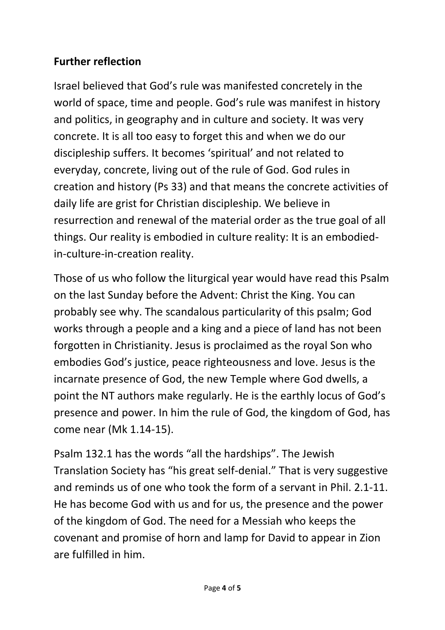### **Further reflection**

Israel believed that God's rule was manifested concretely in the world of space, time and people. God's rule was manifest in history and politics, in geography and in culture and society. It was very concrete. It is all too easy to forget this and when we do our discipleship suffers. It becomes 'spiritual' and not related to everyday, concrete, living out of the rule of God. God rules in creation and history (Ps 33) and that means the concrete activities of daily life are grist for Christian discipleship. We believe in resurrection and renewal of the material order as the true goal of all things. Our reality is embodied in culture reality: It is an embodiedin-culture-in-creation reality.

Those of us who follow the liturgical year would have read this Psalm on the last Sunday before the Advent: Christ the King. You can probably see why. The scandalous particularity of this psalm; God works through a people and a king and a piece of land has not been forgotten in Christianity. Jesus is proclaimed as the royal Son who embodies God's justice, peace righteousness and love. Jesus is the incarnate presence of God, the new Temple where God dwells, a point the NT authors make regularly. He is the earthly locus of God's presence and power. In him the rule of God, the kingdom of God, has come near (Mk 1.14-15).

Psalm 132.1 has the words "all the hardships". The Jewish Translation Society has "his great self-denial." That is very suggestive and reminds us of one who took the form of a servant in Phil. 2.1-11. He has become God with us and for us, the presence and the power of the kingdom of God. The need for a Messiah who keeps the covenant and promise of horn and lamp for David to appear in Zion are fulfilled in him.